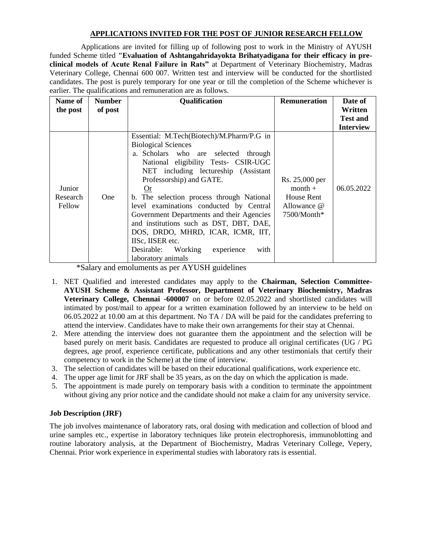## **APPLICATIONS INVITED FOR THE POST OF JUNIOR RESEARCH FELLOW**

Applications are invited for filling up of following post to work in the Ministry of AYUSH funded Scheme titled **"Evaluation of Ashtangahridayokta Brihatyadigana for their efficacy in preclinical models of Acute Renal Failure in Rats"** at Department of Veterinary Biochemistry, Madras Veterinary College, Chennai 600 007. Written test and interview will be conducted for the shortlisted candidates. The post is purely temporary for one year or till the completion of the Scheme whichever is earlier. The qualifications and remuneration are as follows.

| Name of<br>the post          | <b>Number</b><br>of post | Qualification                                                                                                                                                                                                                                                                                                                                                                                                                                                                                                                                           | <b>Remuneration</b>                                                     | Date of<br>Written<br><b>Test and</b> |
|------------------------------|--------------------------|---------------------------------------------------------------------------------------------------------------------------------------------------------------------------------------------------------------------------------------------------------------------------------------------------------------------------------------------------------------------------------------------------------------------------------------------------------------------------------------------------------------------------------------------------------|-------------------------------------------------------------------------|---------------------------------------|
|                              |                          |                                                                                                                                                                                                                                                                                                                                                                                                                                                                                                                                                         |                                                                         | <b>Interview</b>                      |
| Junior<br>Research<br>Fellow | <b>One</b>               | Essential: M.Tech(Biotech)/M.Pharm/P.G in<br><b>Biological Sciences</b><br>a. Scholars who are selected<br>through<br>National eligibility Tests- CSIR-UGC<br>NET including lectureship (Assistant<br>Professorship) and GATE.<br>$Q_{r}$<br>b. The selection process through National<br>level examinations conducted by Central<br>Government Departments and their Agencies<br>and institutions such as DST, DBT, DAE,<br>DOS, DRDO, MHRD, ICAR, ICMR, IIT,<br>IISc, IISER etc.<br>Working<br>Desirable:<br>experience<br>with<br>laboratory animals | Rs. 25,000 per<br>$month +$<br>House Rent<br>Allowance @<br>7500/Month* | 06.05.2022                            |

\*Salary and emoluments as per AYUSH guidelines

- 1. NET Qualified and interested candidates may apply to the **Chairman, Selection Committee-AYUSH Scheme & Assistant Professor, Department of Veterinary Biochemistry, Madras Veterinary College, Chennai -600007** on or before 02.05.2022 and shortlisted candidates will intimated by post/mail to appear for a written examination followed by an interview to be held on 06.05.2022 at 10.00 am at this department. No TA / DA will be paid for the candidates preferring to attend the interview. Candidates have to make their own arrangements for their stay at Chennai.
- 2. Mere attending the interview does not guarantee them the appointment and the selection will be based purely on merit basis. Candidates are requested to produce all original certificates (UG / PG degrees, age proof, experience certificate, publications and any other testimonials that certify their competency to work in the Scheme) at the time of interview.
- 3. The selection of candidates will be based on their educational qualifications, work experience etc.
- 4. The upper age limit for JRF shall be 35 years, as on the day on which the application is made.
- 5. The appointment is made purely on temporary basis with a condition to terminate the appointment without giving any prior notice and the candidate should not make a claim for any university service.

## **Job Description (JRF)**

The job involves maintenance of laboratory rats, oral dosing with medication and collection of blood and urine samples etc., expertise in laboratory techniques like protein electrophoresis, immunoblotting and routine laboratory analysis, at the Department of Biochemistry, Madras Veterinary College, Vepery, Chennai. Prior work experience in experimental studies with laboratory rats is essential.